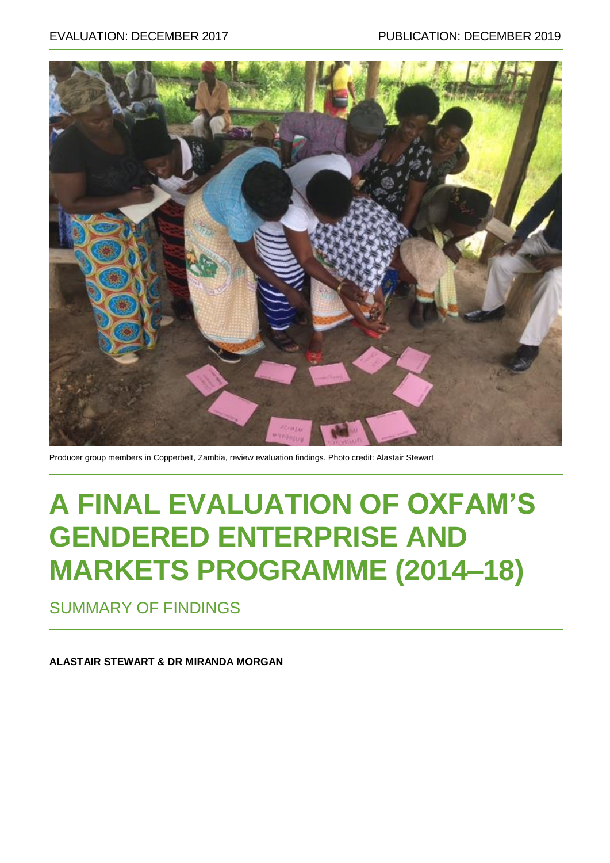

Producer group members in Copperbelt, Zambia, review evaluation findings. Photo credit: Alastair Stewart

# **A FINAL EVALUATION OF OXFAM'S GENDERED ENTERPRISE AND MARKETS PROGRAMME (2014–18)**

SUMMARY OF FINDINGS

**ALASTAIR STEWART & DR MIRANDA MORGAN**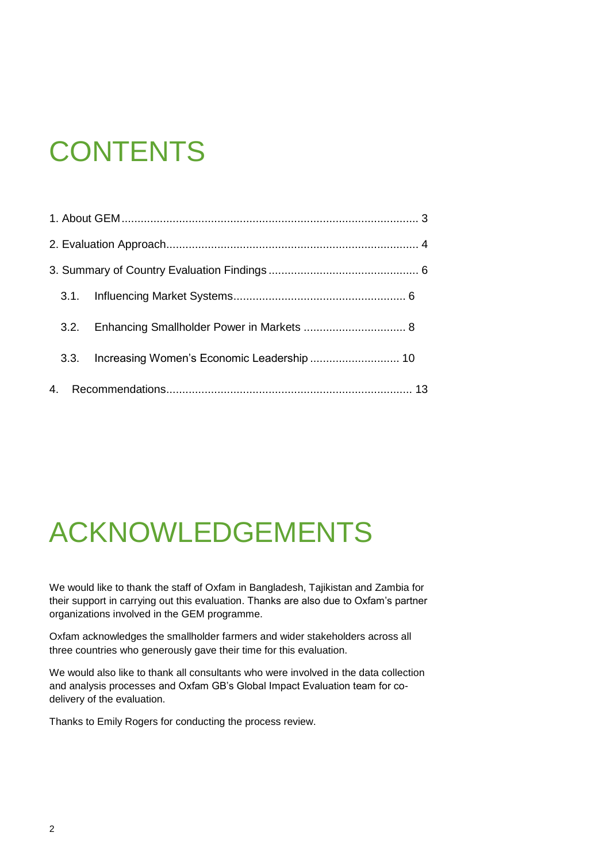# **CONTENTS**

# ACKNOWLEDGEMENTS

We would like to thank the staff of Oxfam in Bangladesh, Tajikistan and Zambia for their support in carrying out this evaluation. Thanks are also due to Oxfam's partner organizations involved in the GEM programme.

Oxfam acknowledges the smallholder farmers and wider stakeholders across all three countries who generously gave their time for this evaluation.

We would also like to thank all consultants who were involved in the data collection and analysis processes and Oxfam GB's Global Impact Evaluation team for codelivery of the evaluation.

Thanks to Emily Rogers for conducting the process review.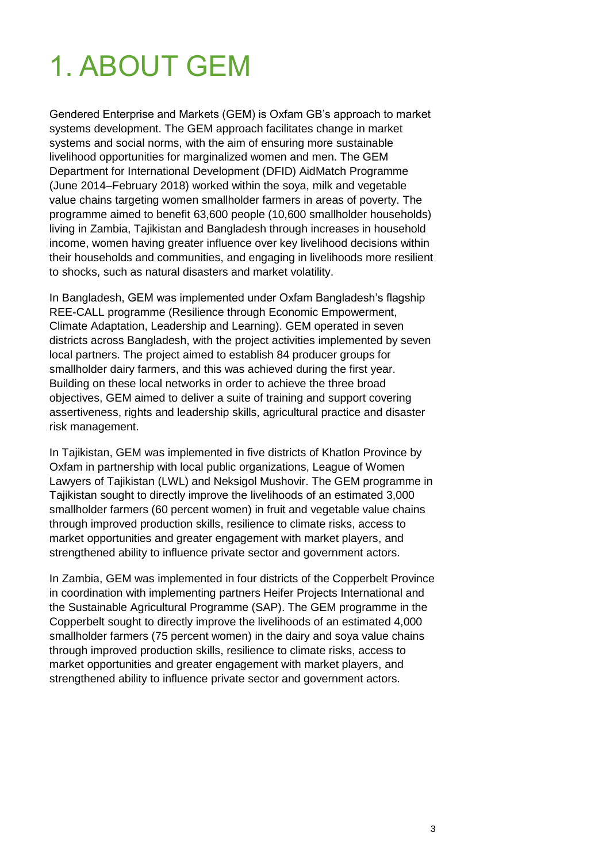# <span id="page-2-0"></span>1. ABOUT GEM

Gendered Enterprise and Markets (GEM) is Oxfam GB's approach to market systems development. The GEM approach facilitates change in market systems and social norms, with the aim of ensuring more sustainable livelihood opportunities for marginalized women and men. The GEM Department for International Development (DFID) AidMatch Programme (June 2014–February 2018) worked within the soya, milk and vegetable value chains targeting women smallholder farmers in areas of poverty. The programme aimed to benefit 63,600 people (10,600 smallholder households) living in Zambia, Tajikistan and Bangladesh through increases in household income, women having greater influence over key livelihood decisions within their households and communities, and engaging in livelihoods more resilient to shocks, such as natural disasters and market volatility.

In Bangladesh, GEM was implemented under Oxfam Bangladesh's flagship REE-CALL programme (Resilience through Economic Empowerment, Climate Adaptation, Leadership and Learning). GEM operated in seven districts across Bangladesh, with the project activities implemented by seven local partners. The project aimed to establish 84 producer groups for smallholder dairy farmers, and this was achieved during the first year. Building on these local networks in order to achieve the three broad objectives, GEM aimed to deliver a suite of training and support covering assertiveness, rights and leadership skills, agricultural practice and disaster risk management.

In Tajikistan, GEM was implemented in five districts of Khatlon Province by Oxfam in partnership with local public organizations, League of Women Lawyers of Tajikistan (LWL) and Neksigol Mushovir. The GEM programme in Tajikistan sought to directly improve the livelihoods of an estimated 3,000 smallholder farmers (60 percent women) in fruit and vegetable value chains through improved production skills, resilience to climate risks, access to market opportunities and greater engagement with market players, and strengthened ability to influence private sector and government actors.

In Zambia, GEM was implemented in four districts of the Copperbelt Province in coordination with implementing partners Heifer Projects International and the Sustainable Agricultural Programme (SAP). The GEM programme in the Copperbelt sought to directly improve the livelihoods of an estimated 4,000 smallholder farmers (75 percent women) in the dairy and soya value chains through improved production skills, resilience to climate risks, access to market opportunities and greater engagement with market players, and strengthened ability to influence private sector and government actors.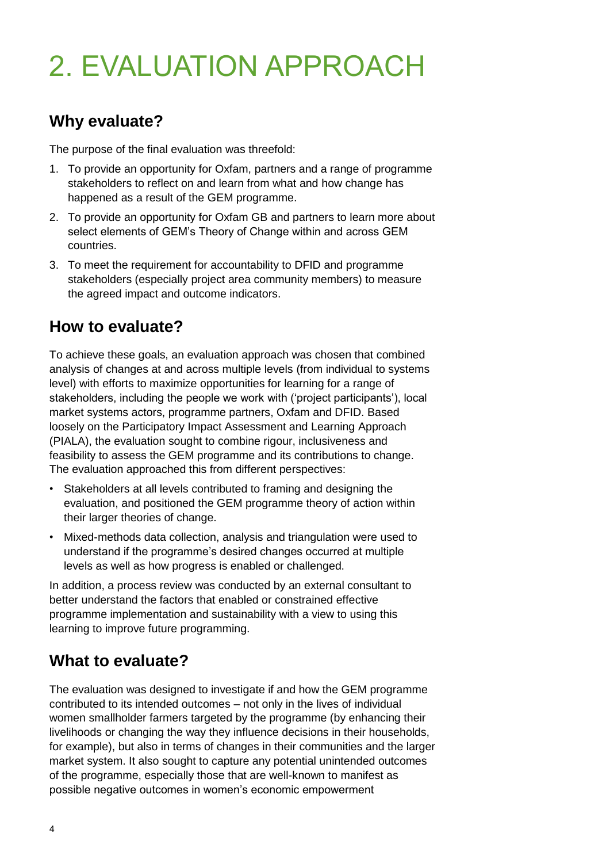# <span id="page-3-0"></span>2. EVALUATION APPROACH

## **Why evaluate?**

The purpose of the final evaluation was threefold:

- 1. To provide an opportunity for Oxfam, partners and a range of programme stakeholders to reflect on and learn from what and how change has happened as a result of the GEM programme.
- 2. To provide an opportunity for Oxfam GB and partners to learn more about select elements of GEM's Theory of Change within and across GEM countries.
- 3. To meet the requirement for accountability to DFID and programme stakeholders (especially project area community members) to measure the agreed impact and outcome indicators.

### **How to evaluate?**

To achieve these goals, an evaluation approach was chosen that combined analysis of changes at and across multiple levels (from individual to systems level) with efforts to maximize opportunities for learning for a range of stakeholders, including the people we work with ('project participants'), local market systems actors, programme partners, Oxfam and DFID. Based loosely on the Participatory Impact Assessment and Learning Approach (PIALA), the evaluation sought to combine rigour, inclusiveness and feasibility to assess the GEM programme and its contributions to change. The evaluation approached this from different perspectives:

- Stakeholders at all levels contributed to framing and designing the evaluation, and positioned the GEM programme theory of action within their larger theories of change.
- Mixed-methods data collection, analysis and triangulation were used to understand if the programme's desired changes occurred at multiple levels as well as how progress is enabled or challenged.

In addition, a process review was conducted by an external consultant to better understand the factors that enabled or constrained effective programme implementation and sustainability with a view to using this learning to improve future programming.

## **What to evaluate?**

The evaluation was designed to investigate if and how the GEM programme contributed to its intended outcomes – not only in the lives of individual women smallholder farmers targeted by the programme (by enhancing their livelihoods or changing the way they influence decisions in their households, for example), but also in terms of changes in their communities and the larger market system. It also sought to capture any potential unintended outcomes of the programme, especially those that are well-known to manifest as possible negative outcomes in women's economic empowerment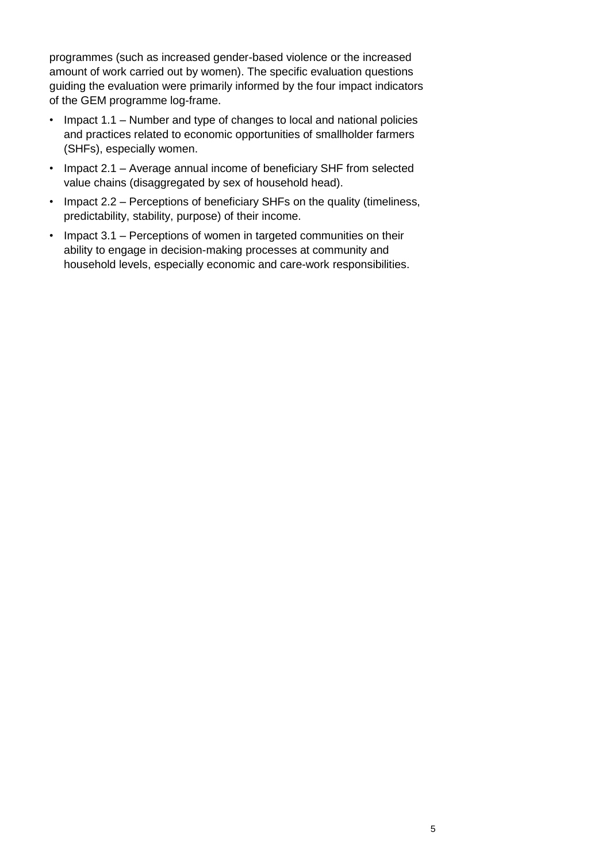programmes (such as increased gender-based violence or the increased amount of work carried out by women). The specific evaluation questions guiding the evaluation were primarily informed by the four impact indicators of the GEM programme log-frame.

- Impact 1.1 Number and type of changes to local and national policies and practices related to economic opportunities of smallholder farmers (SHFs), especially women.
- Impact 2.1 Average annual income of beneficiary SHF from selected value chains (disaggregated by sex of household head).
- Impact 2.2 Perceptions of beneficiary SHFs on the quality (timeliness, predictability, stability, purpose) of their income.
- Impact 3.1 Perceptions of women in targeted communities on their ability to engage in decision-making processes at community and household levels, especially economic and care-work responsibilities.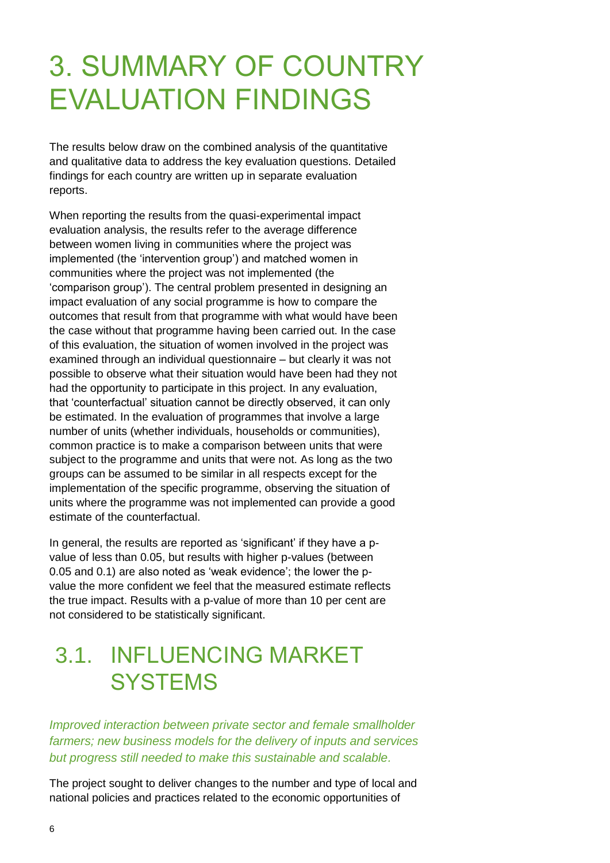# <span id="page-5-0"></span>3. SUMMARY OF COUNTRY EVALUATION FINDINGS

The results below draw on the combined analysis of the quantitative and qualitative data to address the key evaluation questions. Detailed findings for each country are written up in separate evaluation reports.

When reporting the results from the quasi-experimental impact evaluation analysis, the results refer to the average difference between women living in communities where the project was implemented (the 'intervention group') and matched women in communities where the project was not implemented (the 'comparison group'). The central problem presented in designing an impact evaluation of any social programme is how to compare the outcomes that result from that programme with what would have been the case without that programme having been carried out. In the case of this evaluation, the situation of women involved in the project was examined through an individual questionnaire – but clearly it was not possible to observe what their situation would have been had they not had the opportunity to participate in this project. In any evaluation, that 'counterfactual' situation cannot be directly observed, it can only be estimated. In the evaluation of programmes that involve a large number of units (whether individuals, households or communities), common practice is to make a comparison between units that were subject to the programme and units that were not. As long as the two groups can be assumed to be similar in all respects except for the implementation of the specific programme, observing the situation of units where the programme was not implemented can provide a good estimate of the counterfactual.

In general, the results are reported as 'significant' if they have a pvalue of less than 0.05, but results with higher p-values (between 0.05 and 0.1) are also noted as 'weak evidence'; the lower the pvalue the more confident we feel that the measured estimate reflects the true impact. Results with a p-value of more than 10 per cent are not considered to be statistically significant.

# <span id="page-5-1"></span>3.1. INFLUENCING MARKET **SYSTEMS**

*Improved interaction between private sector and female smallholder farmers; new business models for the delivery of inputs and services but progress still needed to make this sustainable and scalable.*

The project sought to deliver changes to the number and type of local and national policies and practices related to the economic opportunities of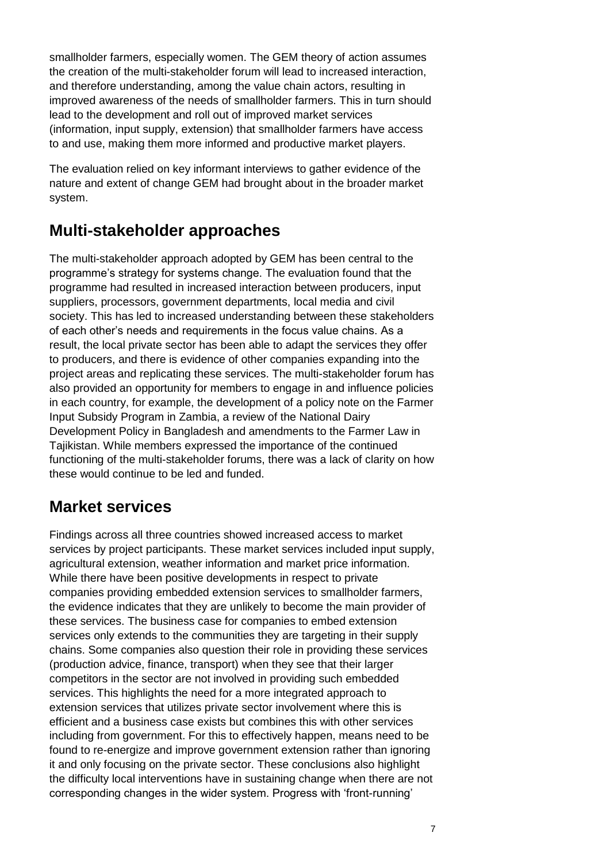smallholder farmers, especially women. The GEM theory of action assumes the creation of the multi-stakeholder forum will lead to increased interaction, and therefore understanding, among the value chain actors, resulting in improved awareness of the needs of smallholder farmers. This in turn should lead to the development and roll out of improved market services (information, input supply, extension) that smallholder farmers have access to and use, making them more informed and productive market players.

The evaluation relied on key informant interviews to gather evidence of the nature and extent of change GEM had brought about in the broader market system.

### **Multi-stakeholder approaches**

The multi-stakeholder approach adopted by GEM has been central to the programme's strategy for systems change. The evaluation found that the programme had resulted in increased interaction between producers, input suppliers, processors, government departments, local media and civil society. This has led to increased understanding between these stakeholders of each other's needs and requirements in the focus value chains. As a result, the local private sector has been able to adapt the services they offer to producers, and there is evidence of other companies expanding into the project areas and replicating these services. The multi-stakeholder forum has also provided an opportunity for members to engage in and influence policies in each country, for example, the development of a policy note on the Farmer Input Subsidy Program in Zambia, a review of the National Dairy Development Policy in Bangladesh and amendments to the Farmer Law in Tajikistan. While members expressed the importance of the continued functioning of the multi-stakeholder forums, there was a lack of clarity on how these would continue to be led and funded.

### **Market services**

Findings across all three countries showed increased access to market services by project participants. These market services included input supply, agricultural extension, weather information and market price information. While there have been positive developments in respect to private companies providing embedded extension services to smallholder farmers, the evidence indicates that they are unlikely to become the main provider of these services. The business case for companies to embed extension services only extends to the communities they are targeting in their supply chains. Some companies also question their role in providing these services (production advice, finance, transport) when they see that their larger competitors in the sector are not involved in providing such embedded services. This highlights the need for a more integrated approach to extension services that utilizes private sector involvement where this is efficient and a business case exists but combines this with other services including from government. For this to effectively happen, means need to be found to re-energize and improve government extension rather than ignoring it and only focusing on the private sector. These conclusions also highlight the difficulty local interventions have in sustaining change when there are not corresponding changes in the wider system. Progress with 'front-running'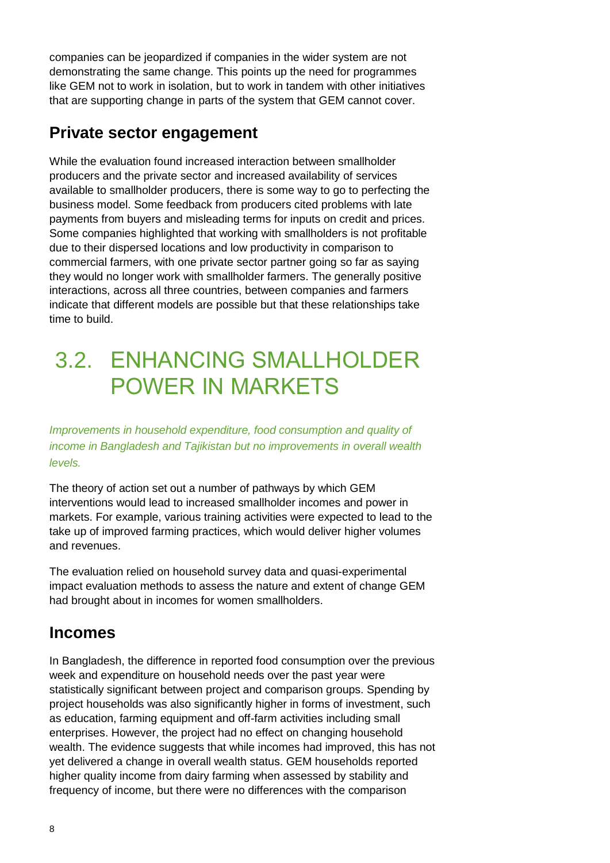companies can be jeopardized if companies in the wider system are not demonstrating the same change. This points up the need for programmes like GEM not to work in isolation, but to work in tandem with other initiatives that are supporting change in parts of the system that GEM cannot cover.

#### **Private sector engagement**

While the evaluation found increased interaction between smallholder producers and the private sector and increased availability of services available to smallholder producers, there is some way to go to perfecting the business model. Some feedback from producers cited problems with late payments from buyers and misleading terms for inputs on credit and prices. Some companies highlighted that working with smallholders is not profitable due to their dispersed locations and low productivity in comparison to commercial farmers, with one private sector partner going so far as saying they would no longer work with smallholder farmers. The generally positive interactions, across all three countries, between companies and farmers indicate that different models are possible but that these relationships take time to build.

# <span id="page-7-0"></span>3.2. ENHANCING SMALLHOLDER POWER IN MARKETS

*Improvements in household expenditure, food consumption and quality of income in Bangladesh and Tajikistan but no improvements in overall wealth levels.*

The theory of action set out a number of pathways by which GEM interventions would lead to increased smallholder incomes and power in markets. For example, various training activities were expected to lead to the take up of improved farming practices, which would deliver higher volumes and revenues.

The evaluation relied on household survey data and quasi-experimental impact evaluation methods to assess the nature and extent of change GEM had brought about in incomes for women smallholders.

#### **Incomes**

In Bangladesh, the difference in reported food consumption over the previous week and expenditure on household needs over the past year were statistically significant between project and comparison groups. Spending by project households was also significantly higher in forms of investment, such as education, farming equipment and off-farm activities including small enterprises. However, the project had no effect on changing household wealth. The evidence suggests that while incomes had improved, this has not yet delivered a change in overall wealth status. GEM households reported higher quality income from dairy farming when assessed by stability and frequency of income, but there were no differences with the comparison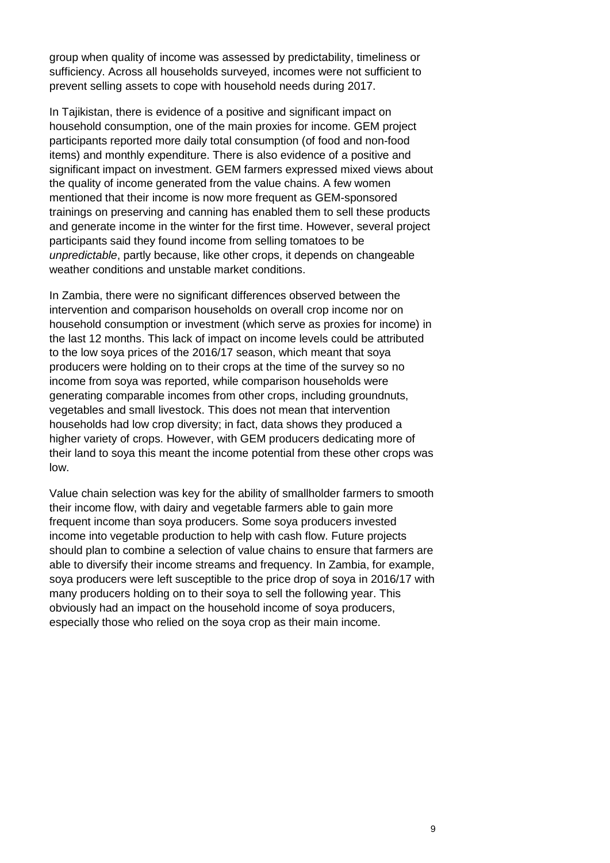group when quality of income was assessed by predictability, timeliness or sufficiency. Across all households surveyed, incomes were not sufficient to prevent selling assets to cope with household needs during 2017.

In Tajikistan, there is evidence of a positive and significant impact on household consumption, one of the main proxies for income. GEM project participants reported more daily total consumption (of food and non-food items) and monthly expenditure. There is also evidence of a positive and significant impact on investment. GEM farmers expressed mixed views about the quality of income generated from the value chains. A few women mentioned that their income is now more frequent as GEM-sponsored trainings on preserving and canning has enabled them to sell these products and generate income in the winter for the first time. However, several project participants said they found income from selling tomatoes to be *unpredictable*, partly because, like other crops, it depends on changeable weather conditions and unstable market conditions.

In Zambia, there were no significant differences observed between the intervention and comparison households on overall crop income nor on household consumption or investment (which serve as proxies for income) in the last 12 months. This lack of impact on income levels could be attributed to the low soya prices of the 2016/17 season, which meant that soya producers were holding on to their crops at the time of the survey so no income from soya was reported, while comparison households were generating comparable incomes from other crops, including groundnuts, vegetables and small livestock. This does not mean that intervention households had low crop diversity; in fact, data shows they produced a higher variety of crops. However, with GEM producers dedicating more of their land to soya this meant the income potential from these other crops was low.

Value chain selection was key for the ability of smallholder farmers to smooth their income flow, with dairy and vegetable farmers able to gain more frequent income than soya producers. Some soya producers invested income into vegetable production to help with cash flow. Future projects should plan to combine a selection of value chains to ensure that farmers are able to diversify their income streams and frequency. In Zambia, for example, soya producers were left susceptible to the price drop of soya in 2016/17 with many producers holding on to their soya to sell the following year. This obviously had an impact on the household income of soya producers, especially those who relied on the soya crop as their main income.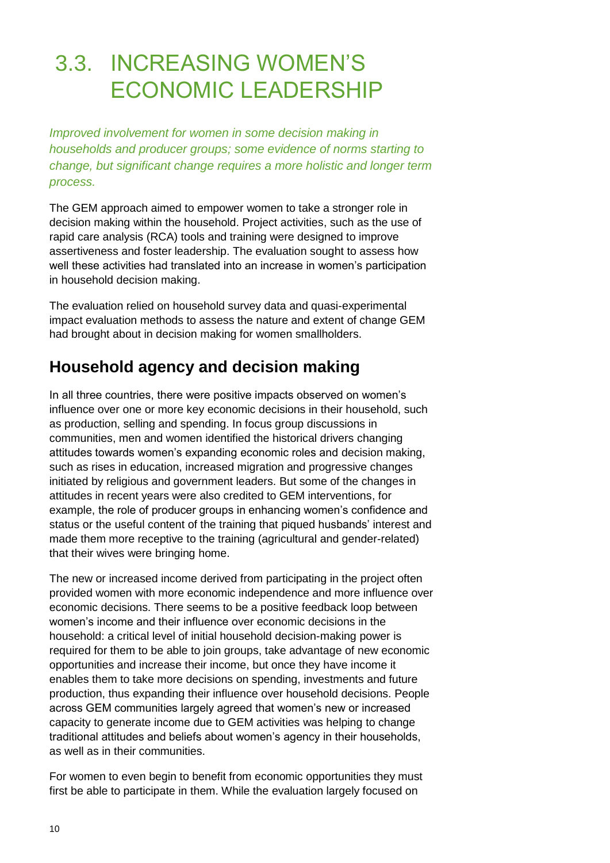# <span id="page-9-0"></span>3.3. INCREASING WOMEN'S ECONOMIC LEADERSHIP

*Improved involvement for women in some decision making in households and producer groups; some evidence of norms starting to change, but significant change requires a more holistic and longer term process.*

The GEM approach aimed to empower women to take a stronger role in decision making within the household. Project activities, such as the use of rapid care analysis (RCA) tools and training were designed to improve assertiveness and foster leadership. The evaluation sought to assess how well these activities had translated into an increase in women's participation in household decision making.

The evaluation relied on household survey data and quasi-experimental impact evaluation methods to assess the nature and extent of change GEM had brought about in decision making for women smallholders.

## **Household agency and decision making**

In all three countries, there were positive impacts observed on women's influence over one or more key economic decisions in their household, such as production, selling and spending. In focus group discussions in communities, men and women identified the historical drivers changing attitudes towards women's expanding economic roles and decision making, such as rises in education, increased migration and progressive changes initiated by religious and government leaders. But some of the changes in attitudes in recent years were also credited to GEM interventions, for example, the role of producer groups in enhancing women's confidence and status or the useful content of the training that piqued husbands' interest and made them more receptive to the training (agricultural and gender-related) that their wives were bringing home.

The new or increased income derived from participating in the project often provided women with more economic independence and more influence over economic decisions. There seems to be a positive feedback loop between women's income and their influence over economic decisions in the household: a critical level of initial household decision-making power is required for them to be able to join groups, take advantage of new economic opportunities and increase their income, but once they have income it enables them to take more decisions on spending, investments and future production, thus expanding their influence over household decisions. People across GEM communities largely agreed that women's new or increased capacity to generate income due to GEM activities was helping to change traditional attitudes and beliefs about women's agency in their households, as well as in their communities.

For women to even begin to benefit from economic opportunities they must first be able to participate in them. While the evaluation largely focused on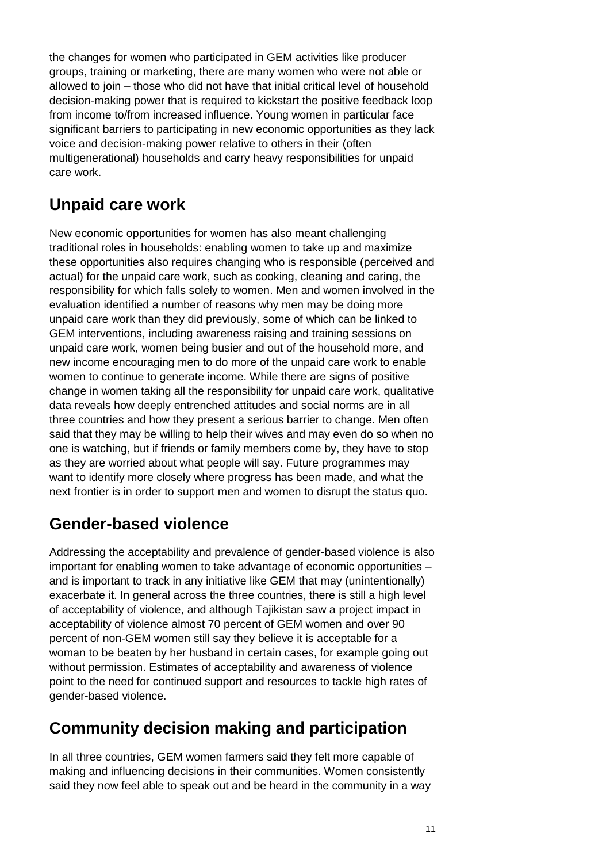the changes for women who participated in GEM activities like producer groups, training or marketing, there are many women who were not able or allowed to join – those who did not have that initial critical level of household decision-making power that is required to kickstart the positive feedback loop from income to/from increased influence. Young women in particular face significant barriers to participating in new economic opportunities as they lack voice and decision-making power relative to others in their (often multigenerational) households and carry heavy responsibilities for unpaid care work.

### **Unpaid care work**

New economic opportunities for women has also meant challenging traditional roles in households: enabling women to take up and maximize these opportunities also requires changing who is responsible (perceived and actual) for the unpaid care work, such as cooking, cleaning and caring, the responsibility for which falls solely to women. Men and women involved in the evaluation identified a number of reasons why men may be doing more unpaid care work than they did previously, some of which can be linked to GEM interventions, including awareness raising and training sessions on unpaid care work, women being busier and out of the household more, and new income encouraging men to do more of the unpaid care work to enable women to continue to generate income. While there are signs of positive change in women taking all the responsibility for unpaid care work, qualitative data reveals how deeply entrenched attitudes and social norms are in all three countries and how they present a serious barrier to change. Men often said that they may be willing to help their wives and may even do so when no one is watching, but if friends or family members come by, they have to stop as they are worried about what people will say. Future programmes may want to identify more closely where progress has been made, and what the next frontier is in order to support men and women to disrupt the status quo.

### **Gender-based violence**

Addressing the acceptability and prevalence of gender-based violence is also important for enabling women to take advantage of economic opportunities – and is important to track in any initiative like GEM that may (unintentionally) exacerbate it. In general across the three countries, there is still a high level of acceptability of violence, and although Tajikistan saw a project impact in acceptability of violence almost 70 percent of GEM women and over 90 percent of non-GEM women still say they believe it is acceptable for a woman to be beaten by her husband in certain cases, for example going out without permission. Estimates of acceptability and awareness of violence point to the need for continued support and resources to tackle high rates of gender-based violence.

### **Community decision making and participation**

In all three countries, GEM women farmers said they felt more capable of making and influencing decisions in their communities. Women consistently said they now feel able to speak out and be heard in the community in a way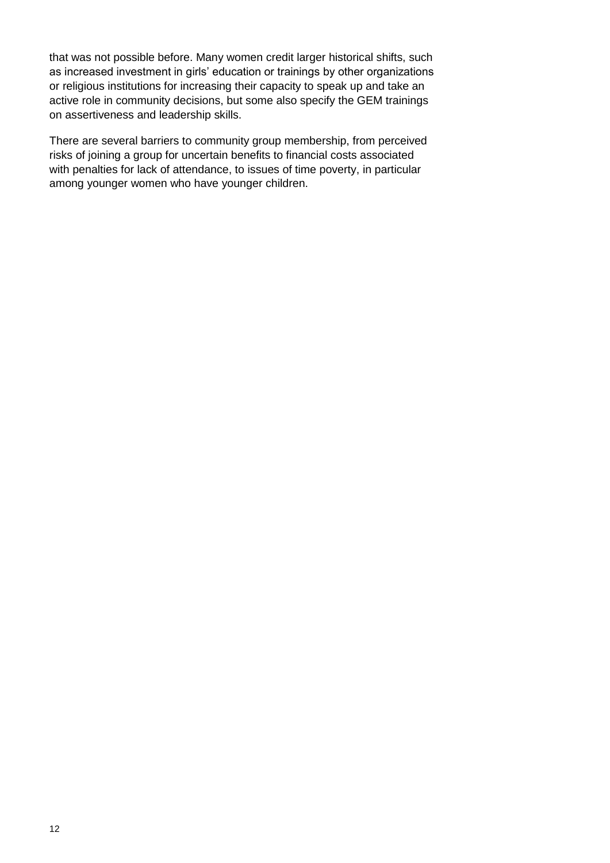that was not possible before. Many women credit larger historical shifts, such as increased investment in girls' education or trainings by other organizations or religious institutions for increasing their capacity to speak up and take an active role in community decisions, but some also specify the GEM trainings on assertiveness and leadership skills.

There are several barriers to community group membership, from perceived risks of joining a group for uncertain benefits to financial costs associated with penalties for lack of attendance, to issues of time poverty, in particular among younger women who have younger children.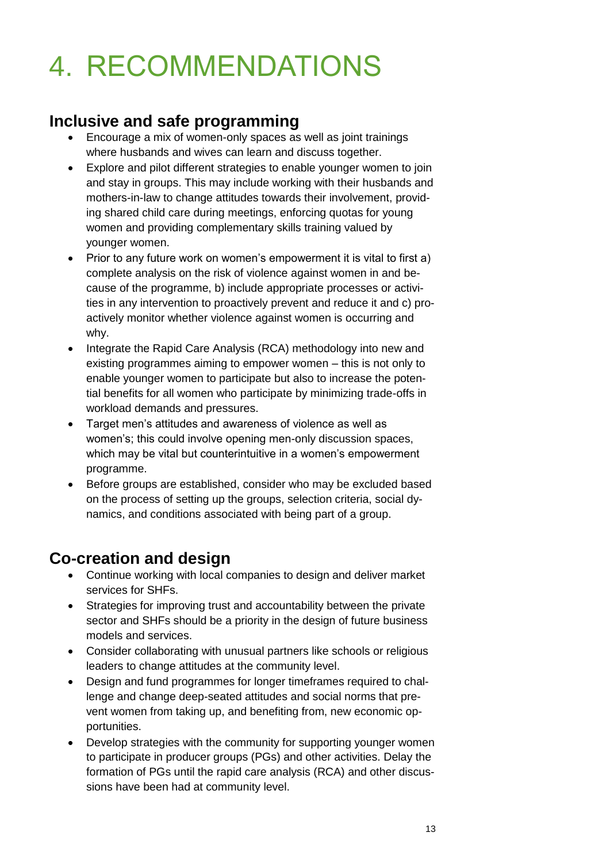# <span id="page-12-0"></span>4. RECOMMENDATIONS

#### **Inclusive and safe programming**

- Encourage a mix of women-only spaces as well as joint trainings where husbands and wives can learn and discuss together.
- Explore and pilot different strategies to enable younger women to join and stay in groups. This may include working with their husbands and mothers-in-law to change attitudes towards their involvement, providing shared child care during meetings, enforcing quotas for young women and providing complementary skills training valued by younger women.
- Prior to any future work on women's empowerment it is vital to first a) complete analysis on the risk of violence against women in and because of the programme, b) include appropriate processes or activities in any intervention to proactively prevent and reduce it and c) proactively monitor whether violence against women is occurring and why.
- Integrate the Rapid Care Analysis (RCA) methodology into new and existing programmes aiming to empower women – this is not only to enable younger women to participate but also to increase the potential benefits for all women who participate by minimizing trade-offs in workload demands and pressures.
- Target men's attitudes and awareness of violence as well as women's; this could involve opening men-only discussion spaces, which may be vital but counterintuitive in a women's empowerment programme.
- Before groups are established, consider who may be excluded based on the process of setting up the groups, selection criteria, social dynamics, and conditions associated with being part of a group.

## **Co-creation and design**

- Continue working with local companies to design and deliver market services for SHFs.
- Strategies for improving trust and accountability between the private sector and SHFs should be a priority in the design of future business models and services.
- Consider collaborating with unusual partners like schools or religious leaders to change attitudes at the community level.
- Design and fund programmes for longer timeframes required to challenge and change deep-seated attitudes and social norms that prevent women from taking up, and benefiting from, new economic opportunities.
- Develop strategies with the community for supporting younger women to participate in producer groups (PGs) and other activities. Delay the formation of PGs until the rapid care analysis (RCA) and other discussions have been had at community level.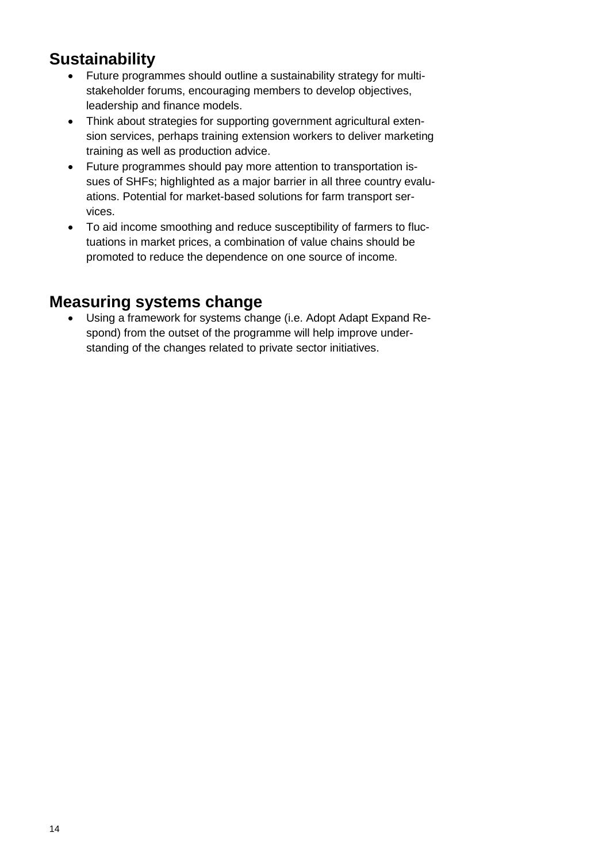## **Sustainability**

- Future programmes should outline a sustainability strategy for multistakeholder forums, encouraging members to develop objectives, leadership and finance models.
- Think about strategies for supporting government agricultural extension services, perhaps training extension workers to deliver marketing training as well as production advice.
- Future programmes should pay more attention to transportation issues of SHFs; highlighted as a major barrier in all three country evaluations. Potential for market-based solutions for farm transport services.
- To aid income smoothing and reduce susceptibility of farmers to fluctuations in market prices, a combination of value chains should be promoted to reduce the dependence on one source of income.

#### **Measuring systems change**

• Using a framework for systems change (i.e. Adopt Adapt Expand Respond) from the outset of the programme will help improve understanding of the changes related to private sector initiatives.